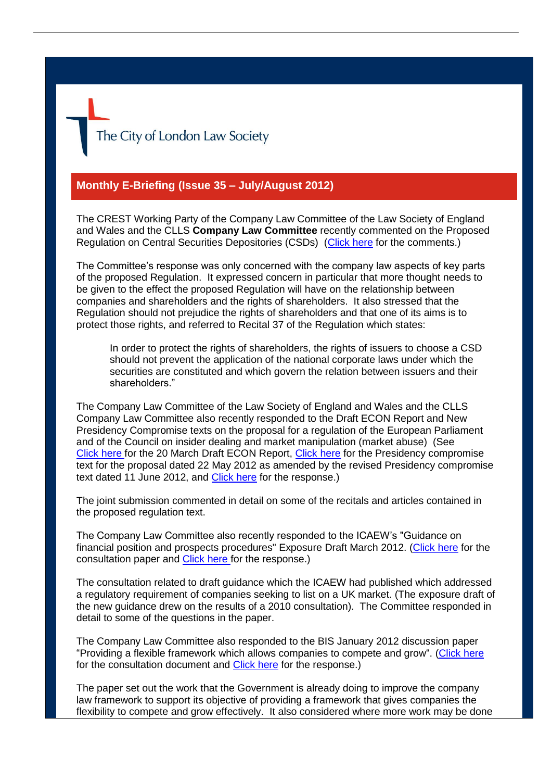## **Monthly E-Briefing (Issue 35 – July/August 2012)**

The CREST Working Party of the Company Law Committee of the Law Society of England and Wales and the CLLS **Company Law Committee** recently commented on the Proposed Regulation on Central Securities Depositories (CSDs) [\(Click here](http://www.citysolicitors.org.uk/FileServer.aspx?oID=1227&lID=0) for the comments.)

The Committee's response was only concerned with the company law aspects of key parts of the proposed Regulation. It expressed concern in particular that more thought needs to be given to the effect the proposed Regulation will have on the relationship between companies and shareholders and the rights of shareholders. It also stressed that the Regulation should not prejudice the rights of shareholders and that one of its aims is to protect those rights, and referred to Recital 37 of the Regulation which states:

In order to protect the rights of shareholders, the rights of issuers to choose a CSD should not prevent the application of the national corporate laws under which the securities are constituted and which govern the relation between issuers and their shareholders."

The Company Law Committee of the Law Society of England and Wales and the CLLS Company Law Committee also recently responded to the Draft ECON Report and New Presidency Compromise texts on the proposal for a regulation of the European Parliament and of the Council on insider dealing and market manipulation (market abuse) (See [Click here f](http://www.europarl.europa.eu/sides/getDoc.do?type=COMPARL&reference=PE-485.914&format=PDF&language=EN&secondRef=01)or the 20 March Draft ECON Report, [Click here](http://register.consilium.europa.eu/pdf/en/12/st11/st11183.en12.pdf) for the Presidency compromise text for the proposal dated 22 May 2012 as amended by the revised Presidency compromise text dated 11 June 2012, and [Click here](http://www.citysolicitors.org.uk/FileServer.aspx?oID=1226&lID=0) for the response.)

The joint submission commented in detail on some of the recitals and articles contained in the proposed regulation text.

The Company Law Committee also recently responded to the ICAEW's "Guidance on financial position and prospects procedures" Exposure Draft March 2012. [\(Click here](http://www.icaew.com/en/technical/corporate-finance/financing-change/guidance-on-financial-position-and-prospects-procedures) for the consultation paper and [Click here](http://www.citysolicitors.org.uk/FileServer.aspx?oID=1224&lID=0) for the response.)

The consultation related to draft guidance which the ICAEW had published which addressed a regulatory requirement of companies seeking to list on a UK market. (The exposure draft of the new guidance drew on the results of a 2010 consultation). The Committee responded in detail to some of the questions in the paper.

The Company Law Committee also responded to the BIS January 2012 discussion paper "Providing a flexible framework which allows companies to compete and grow". [\(Click here](http://www.redtapechallenge.cabinetoffice.gov.uk/company-and-commercial-law/) for the consultation document and [Click here](http://www.citysolicitors.org.uk/FileServer.aspx?oID=1210&lID=0) for the response.)

The paper set out the work that the Government is already doing to improve the company law framework to support its objective of providing a framework that gives companies the flexibility to compete and grow effectively. It also considered where more work may be done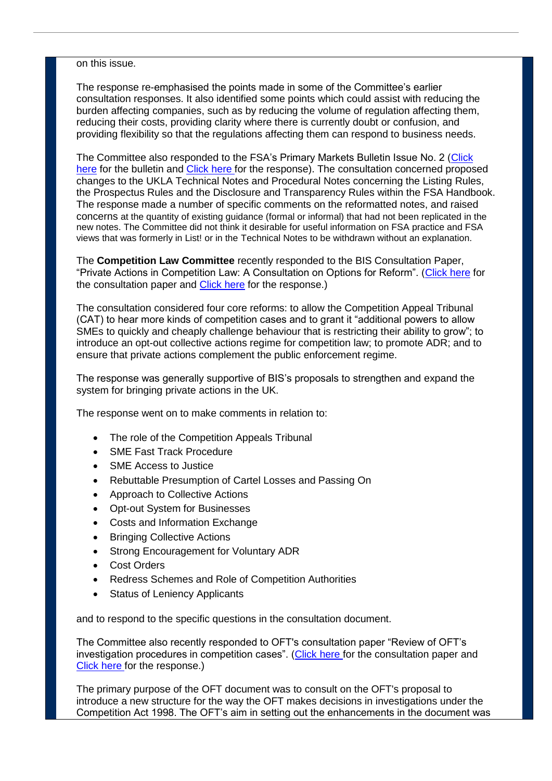## on this issue.

The response re-emphasised the points made in some of the Committee's earlier consultation responses. It also identified some points which could assist with reducing the burden affecting companies, such as by reducing the volume of regulation affecting them, reducing their costs, providing clarity where there is currently doubt or confusion, and providing flexibility so that the regulations affecting them can respond to business needs.

The Committee also responded to the FSA's Primary Markets Bulletin Issue No. 2 [\(Click](http://www.fsa.gov.uk/library/policy/guidance_consultations/2012/1208)  [here](http://www.fsa.gov.uk/library/policy/guidance_consultations/2012/1208) for the bulletin and [Click here](http://www.citysolicitors.org.uk/FileServer.aspx?oID=1244&lID=0) for the response). The consultation concerned proposed changes to the UKLA Technical Notes and Procedural Notes concerning the Listing Rules, the Prospectus Rules and the Disclosure and Transparency Rules within the FSA Handbook. The response made a number of specific comments on the reformatted notes, and raised concerns at the quantity of existing guidance (formal or informal) that had not been replicated in the new notes. The Committee did not think it desirable for useful information on FSA practice and FSA views that was formerly in List! or in the Technical Notes to be withdrawn without an explanation.

The **Competition Law Committee** recently responded to the BIS Consultation Paper, "Private Actions in Competition Law: A Consultation on Options for Reform". [\(Click here](http://www.bis.gov.uk/Consultations/consultation-private-actions-in-competition-law?cat=open) for the consultation paper and [Click here](http://www.citysolicitors.org.uk/FileServer.aspx?oID=1232&lID=0) for the response.)

The consultation considered four core reforms: to allow the Competition Appeal Tribunal (CAT) to hear more kinds of competition cases and to grant it "additional powers to allow SMEs to quickly and cheaply challenge behaviour that is restricting their ability to grow"; to introduce an opt-out collective actions regime for competition law; to promote ADR; and to ensure that private actions complement the public enforcement regime.

The response was generally supportive of BIS's proposals to strengthen and expand the system for bringing private actions in the UK.

The response went on to make comments in relation to:

- The role of the Competition Appeals Tribunal
- SME Fast Track Procedure
- SME Access to Justice
- Rebuttable Presumption of Cartel Losses and Passing On
- Approach to Collective Actions
- Opt-out System for Businesses
- Costs and Information Exchange
- Bringing Collective Actions
- Strong Encouragement for Voluntary ADR
- Cost Orders
- Redress Schemes and Role of Competition Authorities
- Status of Leniency Applicants

and to respond to the specific questions in the consultation document.

The Committee also recently responded to OFT's consultation paper "Review of OFT's investigation procedures in competition cases". [\(Click here](http://www.oft.gov.uk/OFTwork/consultations/ca98-investigation-procedures/) for the consultation paper and [Click here](http://www.citysolicitors.org.uk/FileServer.aspx?oID=1233&lID=0) for the response.)

The primary purpose of the OFT document was to consult on the OFT's proposal to introduce a new structure for the way the OFT makes decisions in investigations under the Competition Act 1998. The OFT's aim in setting out the enhancements in the document was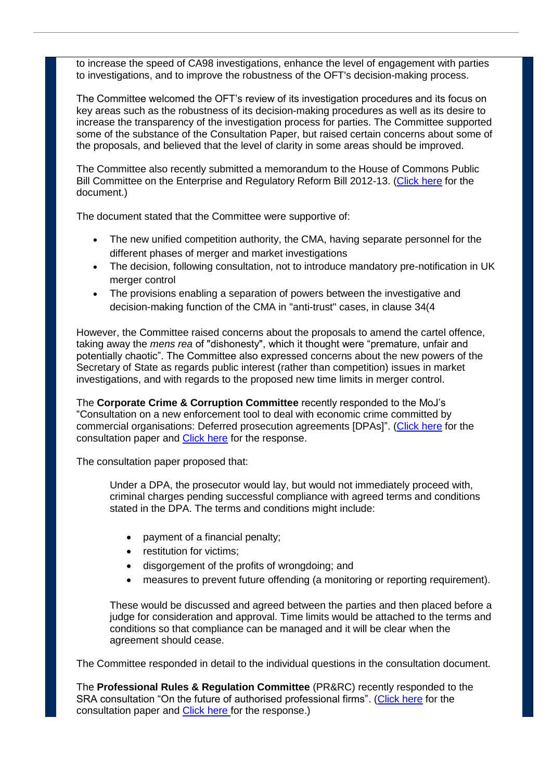to increase the speed of CA98 investigations, enhance the level of engagement with parties to investigations, and to improve the robustness of the OFT's decision-making process.

The Committee welcomed the OFT's review of its investigation procedures and its focus on key areas such as the robustness of its decision-making procedures as well as its desire to increase the transparency of the investigation process for parties. The Committee supported some of the substance of the Consultation Paper, but raised certain concerns about some of the proposals, and believed that the level of clarity in some areas should be improved.

The Committee also recently submitted a memorandum to the House of Commons Public Bill Committee on the Enterprise and Regulatory Reform Bill 2012-13. [\(Click here](http://www.publications.parliament.uk/pa/cm201213/cmpublic/enterprise/memo/err31.htm) for the document.)

The document stated that the Committee were supportive of:

- The new unified competition authority, the CMA, having separate personnel for the different phases of merger and market investigations
- The decision, following consultation, not to introduce mandatory pre-notification in UK merger control
- The provisions enabling a separation of powers between the investigative and decision-making function of the CMA in "anti-trust" cases, in clause 34(4

However, the Committee raised concerns about the proposals to amend the cartel offence, taking away the *mens rea* of "dishonesty", which it thought were "premature, unfair and potentially chaotic". The Committee also expressed concerns about the new powers of the Secretary of State as regards public interest (rather than competition) issues in market investigations, and with regards to the proposed new time limits in merger control.

The **Corporate Crime & Corruption Committee** recently responded to the MoJ's "Consultation on a new enforcement tool to deal with economic crime committed by commercial organisations: Deferred prosecution agreements [DPAs]". [\(Click here](https://consult.justice.gov.uk/digital-communications/deferred-prosecution-agreements) for the consultation paper and [Click here](http://www.citysolicitors.org.uk/FileServer.aspx?oID=1230&lID=0) for the response.

The consultation paper proposed that:

Under a DPA, the prosecutor would lay, but would not immediately proceed with, criminal charges pending successful compliance with agreed terms and conditions stated in the DPA. The terms and conditions might include:

- payment of a financial penalty;
- restitution for victims;
- disgorgement of the profits of wrongdoing; and
- measures to prevent future offending (a monitoring or reporting requirement).

These would be discussed and agreed between the parties and then placed before a judge for consideration and approval. Time limits would be attached to the terms and conditions so that compliance can be managed and it will be clear when the agreement should cease.

The Committee responded in detail to the individual questions in the consultation document.

The **Professional Rules & Regulation Committee** (PR&RC) recently responded to the SRA consultation "On the future of authorised professional firms". [\(Click here](http://www.sra.org.uk/sra/consultations/future-authorised-professional-firms.page) for the consultation paper and [Click here](http://www.citysolicitors.org.uk/FileServer.aspx?oID=1235&lID=0) for the response.)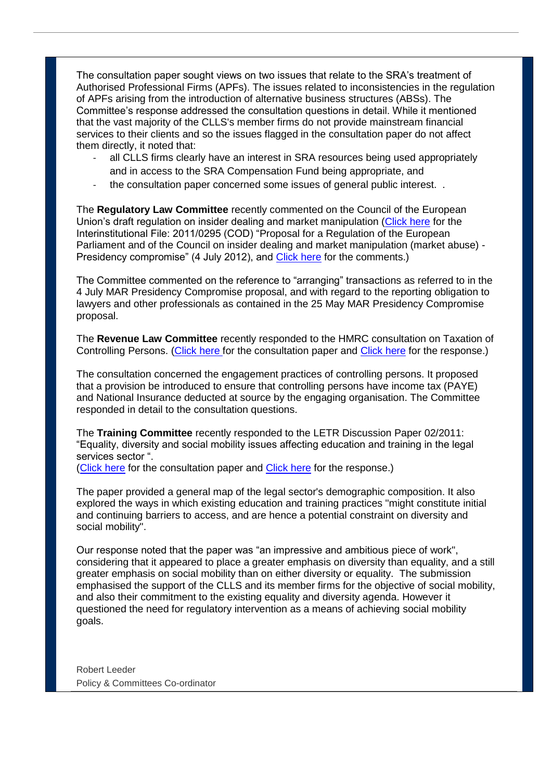The consultation paper sought views on two issues that relate to the SRA's treatment of Authorised Professional Firms (APFs). The issues related to inconsistencies in the regulation of APFs arising from the introduction of alternative business structures (ABSs). The Committee's response addressed the consultation questions in detail. While it mentioned that the vast majority of the CLLS's member firms do not provide mainstream financial services to their clients and so the issues flagged in the consultation paper do not affect them directly, it noted that:

- all CLLS firms clearly have an interest in SRA resources being used appropriately and in access to the SRA Compensation Fund being appropriate, and
- the consultation paper concerned some issues of general public interest...

The **Regulatory Law Committee** recently commented on the Council of the European Union's draft regulation on insider dealing and market manipulation [\(Click here](http://register.consilium.europa.eu/pdf/en/12/st12/st12182.en12.pdf) for the Interinstitutional File: 2011/0295 (COD) "Proposal for a Regulation of the European Parliament and of the Council on insider dealing and market manipulation (market abuse) - Presidency compromise" (4 July 2012), and [Click here](http://www.citysolicitors.org.uk/FileServer.aspx?oID=1239&lID=0) for the comments.)

The Committee commented on the reference to "arranging" transactions as referred to in the 4 July MAR Presidency Compromise proposal, and with regard to the reporting obligation to lawyers and other professionals as contained in the 25 May MAR Presidency Compromise proposal.

The **Revenue Law Committee** recently responded to the HMRC consultation on Taxation of Controlling Persons. [\(Click here](http://customs.hmrc.gov.uk/channelsPortalWebApp/channelsPortalWebApp.portal?_nfpb=true&_pageLabel=pageLibrary_ConsultationDocuments&propertyType=document&columns=1&id=HMCE_PROD1_032074) for the consultation paper and [Click here](http://www.citysolicitors.org.uk/FileServer.aspx?oID=1237&lID=0) for the response.)

The consultation concerned the engagement practices of controlling persons. It proposed that a provision be introduced to ensure that controlling persons have income tax (PAYE) and National Insurance deducted at source by the engaging organisation. The Committee responded in detail to the consultation questions.

The **Training Committee** recently responded to the LETR Discussion Paper 02/2011: "Equality, diversity and social mobility issues affecting education and training in the legal services sector ".

[\(Click here](http://letr.org.uk/wp-content/uploads/2011/11/LETR-EDSM-Discussion-Paper-final21.pdf) for the consultation paper and [Click here](http://www.citysolicitors.org.uk/FileServer.aspx?oID=1217&lID=0) for the response.)

The paper provided a general map of the legal sector's demographic composition. It also explored the ways in which existing education and training practices "might constitute initial and continuing barriers to access, and are hence a potential constraint on diversity and social mobility".

Our response noted that the paper was "an impressive and ambitious piece of work", considering that it appeared to place a greater emphasis on diversity than equality, and a still greater emphasis on social mobility than on either diversity or equality. The submission emphasised the support of the CLLS and its member firms for the objective of social mobility, and also their commitment to the existing equality and diversity agenda. However it questioned the need for regulatory intervention as a means of achieving social mobility goals.

Robert Leeder Policy & Committees Co-ordinator